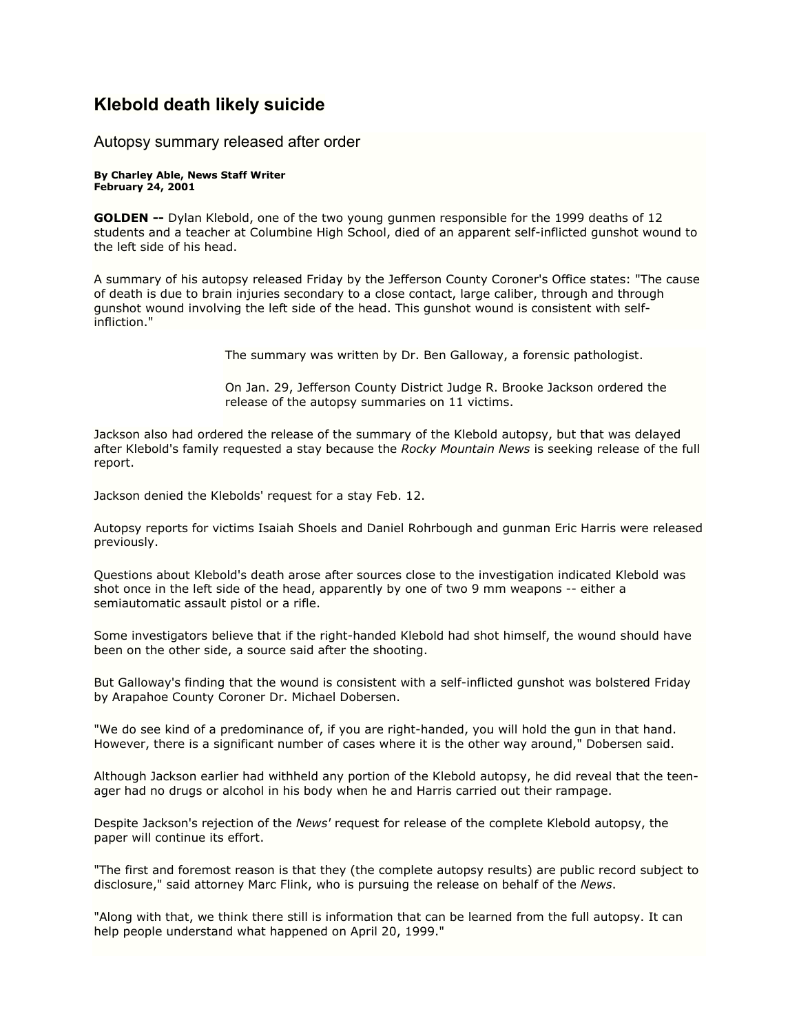## **Klebold death likely suicide**

## Autopsy summary released after order

## **By Charley Able, News Staff Writer February 24, 2001**

**GOLDEN --** Dylan Klebold, one of the two young gunmen responsible for the 1999 deaths of 12 students and a teacher at Columbine High School, died of an apparent self-inflicted gunshot wound to the left side of his head.

A summary of his autopsy released Friday by the Jefferson County Coroner's Office states: "The cause of death is due to brain injuries secondary to a close contact, large caliber, through and through gunshot wound involving the left side of the head. This gunshot wound is consistent with selfinfliction."

The summary was written by Dr. Ben Galloway, a forensic pathologist.

On Jan. 29, Jefferson County District Judge R. Brooke Jackson ordered the release of the autopsy summaries on 11 victims.

Jackson also had ordered the release of the summary of the Klebold autopsy, but that was delayed after Klebold's family requested a stay because the *Rocky Mountain News* is seeking release of the full report.

Jackson denied the Klebolds' request for a stay Feb. 12.

Autopsy reports for victims Isaiah Shoels and Daniel Rohrbough and gunman Eric Harris were released previously.

Questions about Klebold's death arose after sources close to the investigation indicated Klebold was shot once in the left side of the head, apparently by one of two 9 mm weapons -- either a semiautomatic assault pistol or a rifle.

Some investigators believe that if the right-handed Klebold had shot himself, the wound should have been on the other side, a source said after the shooting.

But Galloway's finding that the wound is consistent with a self-inflicted gunshot was bolstered Friday by Arapahoe County Coroner Dr. Michael Dobersen.

"We do see kind of a predominance of, if you are right-handed, you will hold the gun in that hand. However, there is a significant number of cases where it is the other way around," Dobersen said.

Although Jackson earlier had withheld any portion of the Klebold autopsy, he did reveal that the teenager had no drugs or alcohol in his body when he and Harris carried out their rampage.

Despite Jackson's rejection of the *News'* request for release of the complete Klebold autopsy, the paper will continue its effort.

"The first and foremost reason is that they (the complete autopsy results) are public record subject to disclosure," said attorney Marc Flink, who is pursuing the release on behalf of the *News*.

"Along with that, we think there still is information that can be learned from the full autopsy. It can help people understand what happened on April 20, 1999."